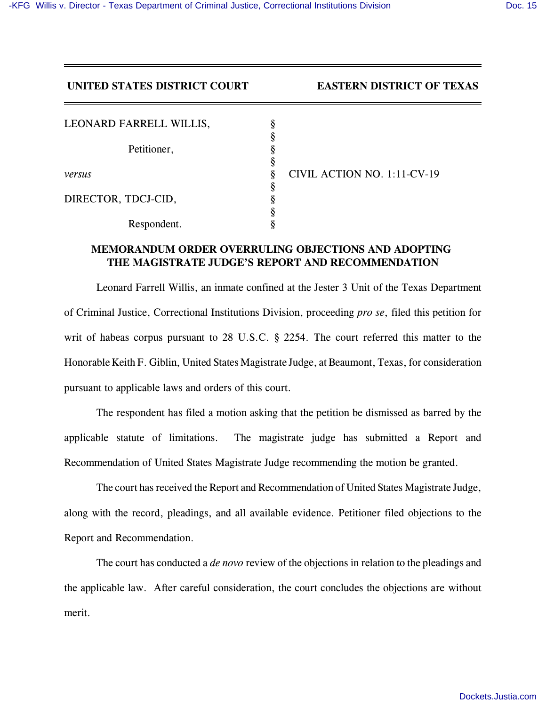## **UNITED STATES DISTRICT COURT EASTERN DISTRICT OF TEXAS**

| LEONARD FARRELL WILLIS, |  |
|-------------------------|--|
|                         |  |
| Petitioner,             |  |
| versus                  |  |
|                         |  |
| DIRECTOR, TDCJ-CID,     |  |
|                         |  |
| Respondent.             |  |

*versus* § CIVIL ACTION NO. 1:11-CV-19

## **MEMORANDUM ORDER OVERRULING OBJECTIONS AND ADOPTING THE MAGISTRATE JUDGE'S REPORT AND RECOMMENDATION**

Leonard Farrell Willis, an inmate confined at the Jester 3 Unit of the Texas Department of Criminal Justice, Correctional Institutions Division, proceeding *pro se*, filed this petition for writ of habeas corpus pursuant to 28 U.S.C. § 2254. The court referred this matter to the Honorable Keith F. Giblin, United States Magistrate Judge, at Beaumont, Texas, for consideration pursuant to applicable laws and orders of this court.

The respondent has filed a motion asking that the petition be dismissed as barred by the applicable statute of limitations. The magistrate judge has submitted a Report and Recommendation of United States Magistrate Judge recommending the motion be granted.

The court has received the Report and Recommendation of United States Magistrate Judge, along with the record, pleadings, and all available evidence. Petitioner filed objections to the Report and Recommendation.

The court has conducted a *de novo* review of the objections in relation to the pleadings and the applicable law. After careful consideration, the court concludes the objections are without merit.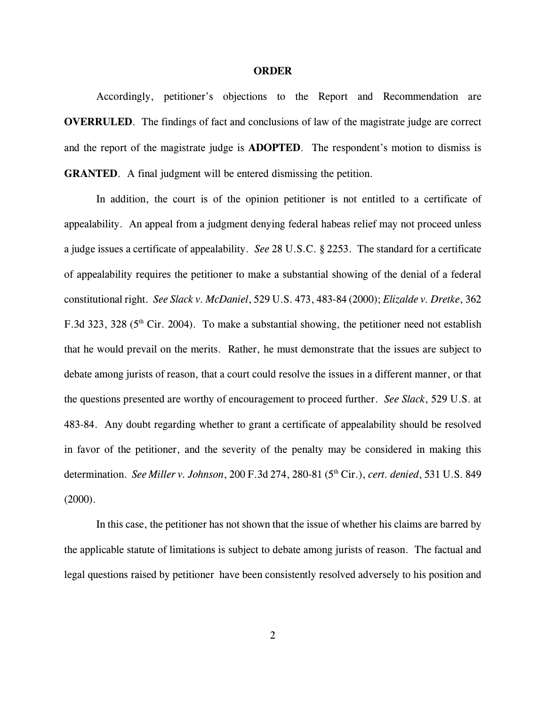## **ORDER**

Accordingly, petitioner's objections to the Report and Recommendation are **OVERRULED**. The findings of fact and conclusions of law of the magistrate judge are correct and the report of the magistrate judge is **ADOPTED**. The respondent's motion to dismiss is **GRANTED.** A final judgment will be entered dismissing the petition.

In addition, the court is of the opinion petitioner is not entitled to a certificate of appealability. An appeal from a judgment denying federal habeas relief may not proceed unless a judge issues a certificate of appealability. *See* 28 U.S.C. § 2253. The standard for a certificate of appealability requires the petitioner to make a substantial showing of the denial of a federal constitutional right. *See Slack v. McDaniel*, 529 U.S. 473, 483-84 (2000); *Elizalde v. Dretke*, 362 F.3d 323, 328 ( $5<sup>th</sup>$  Cir. 2004). To make a substantial showing, the petitioner need not establish that he would prevail on the merits. Rather, he must demonstrate that the issues are subject to debate among jurists of reason, that a court could resolve the issues in a different manner, or that the questions presented are worthy of encouragement to proceed further. *See Slack*, 529 U.S. at 483-84. Any doubt regarding whether to grant a certificate of appealability should be resolved in favor of the petitioner, and the severity of the penalty may be considered in making this determination. *See Miller v. Johnson*, 200 F.3d 274, 280-81 (5<sup>th</sup> Cir.), *cert. denied*, 531 U.S. 849  $(2000)$ .

In this case, the petitioner has not shown that the issue of whether his claims are barred by the applicable statute of limitations is subject to debate among jurists of reason. The factual and legal questions raised by petitioner have been consistently resolved adversely to his position and